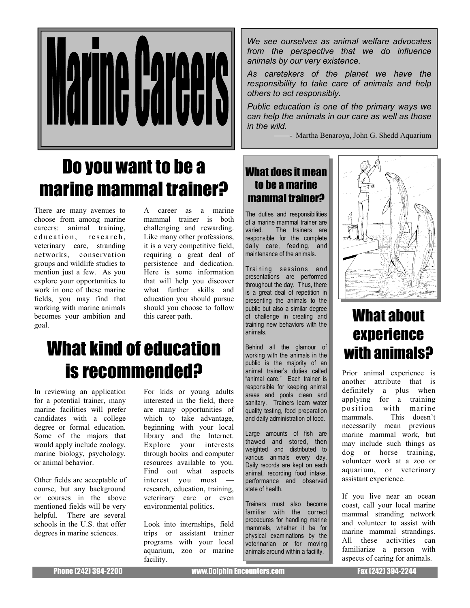

# Do you want to be a marine mammal trainer?

There are many avenues to choose from among marine careers: animal training, education, research, veterinary care, stranding networks, conservation groups and wildlife studies to mention just a few. As you explore your opportunities to work in one of these marine fields, you may find that working with marine animals becomes your ambition and goal.

A career as a marine mammal trainer is both challenging and rewarding. Like many other professions, it is a very competitive field, requiring a great deal of persistence and dedication. Here is some information that will help you discover what further skills and education you should pursue should you choose to follow this career path.

# What kind of education is recommended?

In reviewing an application for a potential trainer, many marine facilities will prefer candidates with a college degree or formal education. Some of the majors that would apply include zoology, marine biology, psychology, or animal behavior.

Other fields are acceptable of course, but any background or courses in the above mentioned fields will be very helpful. There are several schools in the U.S. that offer degrees in marine sciences.

For kids or young adults interested in the field, there are many opportunities of which to take advantage, beginning with your local library and the Internet. Explore your interests through books and computer resources available to you. Find out what aspects interest you most research, education, training, veterinary care or even environmental politics.

Look into internships, field trips or assistant trainer programs with your local aquarium, zoo or marine facility.

We see ourselves as animal welfare advocates from the perspective that we do influence animals by our very existence.

As caretakers of the planet we have the responsibility to take care of animals and help others to act responsibly.

Public education is one of the primary ways we can help the animals in our care as well as those in the wild.

- Martha Benaroya, John G. Shedd Aquarium

### What does it mean to be a marine mammal trainer?

The duties and responsibilities of a marine mammal trainer are varied. The trainers are responsible for the complete daily care, feeding, and maintenance of the animals.

Training sessions and presentations are performed throughout the day. Thus, there is a great deal of repetition in presenting the animals to the public but also a similar degree of challenge in creating and training new behaviors with the animals.

Behind all the glamour of working with the animals in the public is the majority of an animal trainer's duties called "animal care." Each trainer is responsible for keeping animal areas and pools clean and sanitary. Trainers learn water quality testing, food preparation and daily administration of food.

Large amounts of fish are thawed and stored, then weighted and distributed to various animals every day. Daily records are kept on each animal, recording food intake, performance and observed state of health.

Trainers must also become familiar with the correct procedures for handling marine mammals, whether it be for physical examinations by the veterinarian or for moving animals around within a facility.



## What about experience with animals?

Prior animal experience is another attribute that is definitely a plus when applying for a training position with marine mammals. This doesn't necessarily mean previous marine mammal work, but may include such things as dog or horse training, volunteer work at a zoo or aquarium, or veterinary assistant experience.

If you live near an ocean coast, call your local marine mammal stranding network and volunteer to assist with marine mammal strandings. All these activities can familiarize a person with aspects of caring for animals.